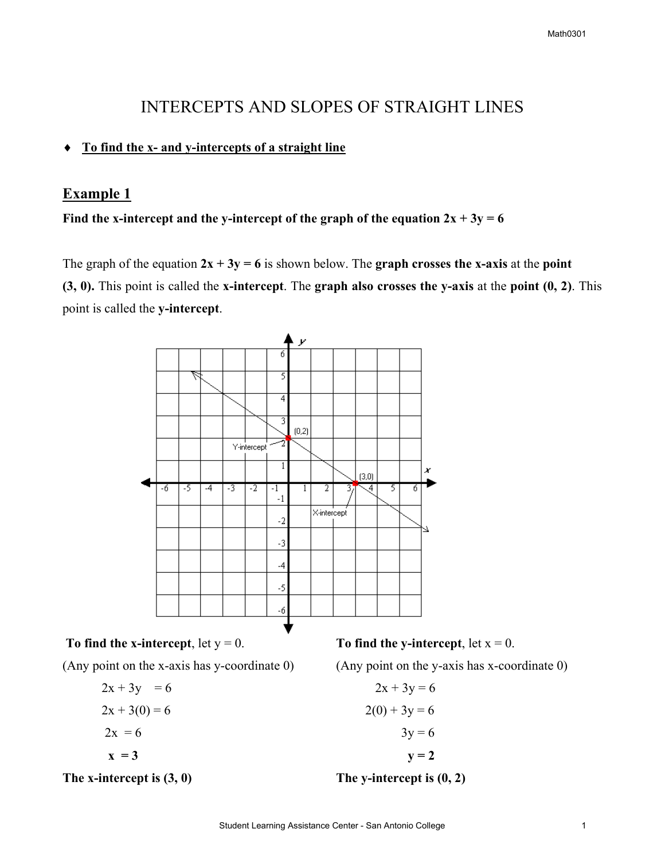# INTERCEPTS AND SLOPES OF STRAIGHT LINES

#### ♦ **To find the x- and y-intercepts of a straight line**

## **Example 1**

### Find the x-intercept and the y-intercept of the graph of the equation  $2x + 3y = 6$

The graph of the equation  $2x + 3y = 6$  is shown below. The **graph crosses the x-axis** at the **point (3, 0).** This point is called the **x-intercept**. The **graph also crosses the y-axis** at the **point (0, 2)**. This point is called the **y-intercept**.



(Any point on the x-axis has y-coordinate 0) (Any point on the y-axis has x-coordinate 0)

$$
2x + 3y = 6\n2x + 3(0) = 6\n2x = 6
$$
\n
$$
2x + 3y = 6\n2(0) + 3y = 6\n3y = 6\n
$$
3y = 6\n
$$
y = 2
$$
$$
$$

The x-intercept is  $(3, 0)$  The y-intercept is  $(0, 2)$ 

$$
2x + 3y = 6
$$

$$
(0) + 3y = 6
$$

$$
3y = 6
$$

$$
y = 2
$$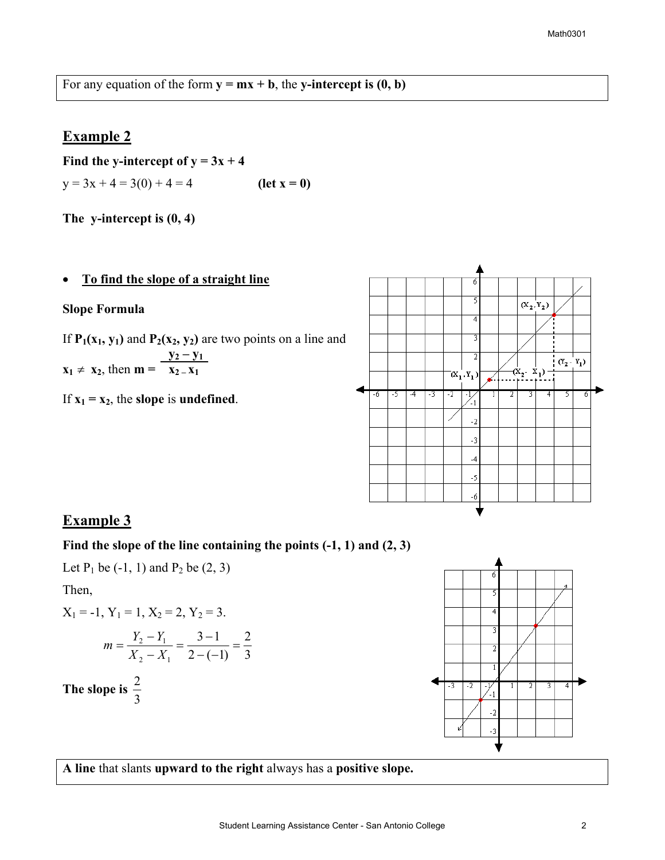For any equation of the form  $y = mx + b$ , the y-intercept is  $(0, b)$ 

# **Example 2**

Find the y-intercept of  $y = 3x + 4$  $y = 3x + 4 = 3(0) + 4 = 4$  (let  $x = 0$ )

**The y-intercept is (0, 4)** 

#### • **To find the slope of a straight line**

#### **Slope Formula**

If  $P_1(x_1, y_1)$  and  $P_2(x_2, y_2)$  are two points on a line and  $y_2 - y_1$  $\mathbf{x}_1 \neq \mathbf{x}_2$ , then  $\mathbf{m} = \mathbf{x}_2 - \mathbf{x}_1$ 

If  $x_1 = x_2$ , the **slope** is **undefined**.



## **Example 3**

### **Find the slope of the line containing the points (-1, 1) and (2, 3)**

Let  $P_1$  be  $(-1, 1)$  and  $P_2$  be  $(2, 3)$ 

Then,

$$
X_1 = -1
$$
,  $Y_1 = 1$ ,  $X_2 = 2$ ,  $Y_2 = 3$ .

$$
m = \frac{Y_2 - Y_1}{X_2 - X_1} = \frac{3 - 1}{2 - (-1)} = \frac{2}{3}
$$

The slope is  $\frac{2}{3}$ 



**A line** that slants **upward to the right** always has a **positive slope.**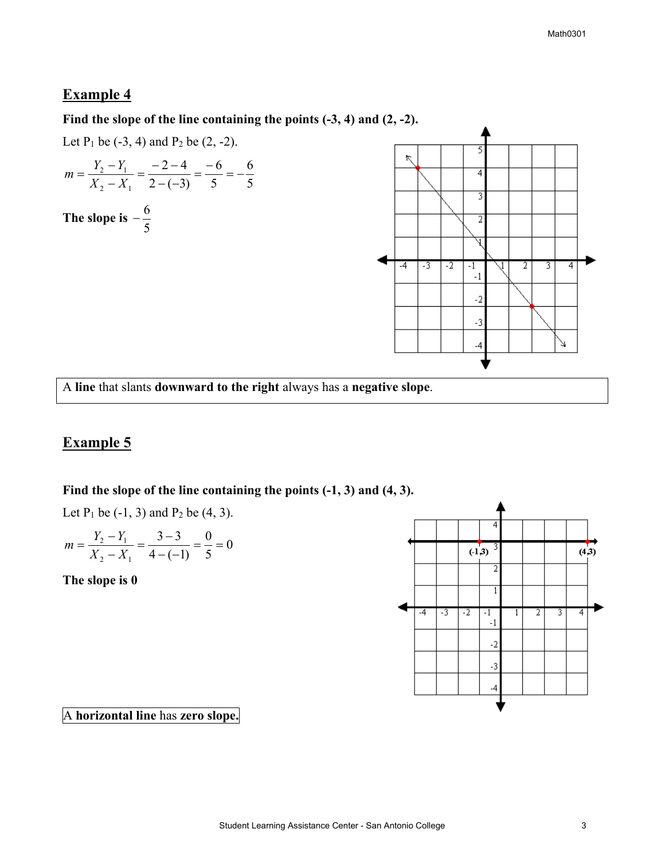# **Example 4**

**Find the slope of the line containing the points (-3, 4) and (2, -2).** 

Let  $P_1$  be  $(-3, 4)$  and  $P_2$  be  $(2, -2)$ .

$$
m = \frac{Y_2 - Y_1}{X_2 - X_1} = \frac{-2 - 4}{2 - (-3)} = \frac{-6}{5} = -\frac{6}{5}
$$

The slope is  $-\frac{6}{5}$ 



A **line** that slants **downward to the right** always has a **negative slope**.

# **Example 5**

### **Find the slope of the line containing the points (-1, 3) and (4, 3).**

Let  $P_1$  be  $(-1, 3)$  and  $P_2$  be  $(4, 3)$ .

$$
m = \frac{Y_2 - Y_1}{X_2 - X_1} = \frac{3 - 3}{4 - (-1)} = \frac{0}{5} = 0
$$

**The slope is 0** 



A **horizontal line** has **zero slope.**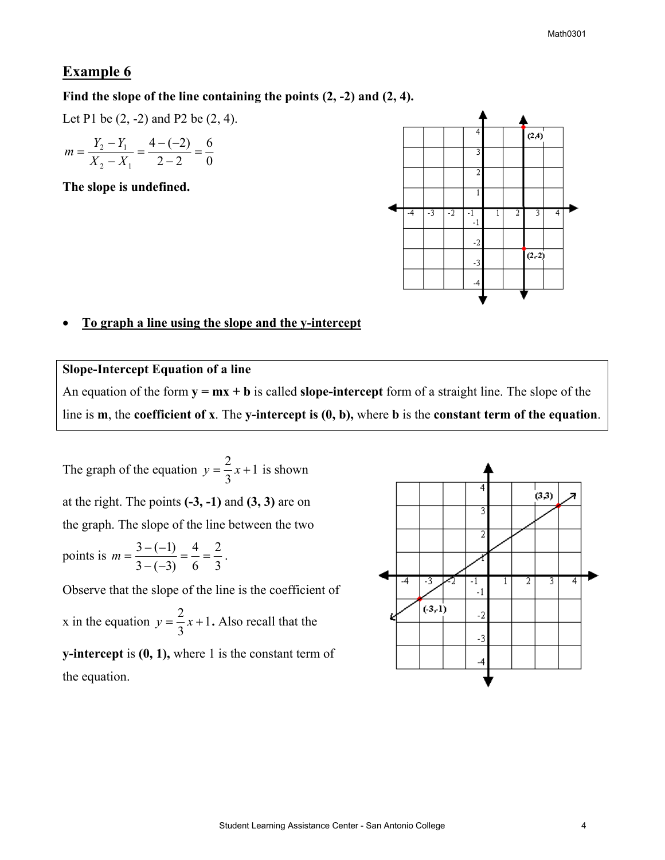### **Example 6**

#### **Find the slope of the line containing the points (2, -2) and (2, 4).**

Let P1 be (2, -2) and P2 be (2, 4).

$$
m = \frac{Y_2 - Y_1}{X_2 - X_1} = \frac{4 - (-2)}{2 - 2} = \frac{6}{0}
$$

**The slope is undefined.** 



### • **To graph a line using the slope and the y-intercept**

#### **Slope-Intercept Equation of a line**

An equation of the form  $y = mx + b$  is called **slope-intercept** form of a straight line. The slope of the line is **m**, the **coefficient of x**. The **y-intercept is (0, b),** where **b** is the **constant term of the equation**.

The graph of the equation  $y = \frac{2}{3}x + 1$ 3  $y = \frac{2}{3}x + 1$  is shown at the right. The points **(-3, -1)** and **(3, 3)** are on the graph. The slope of the line between the two points is  $m = \frac{3 - (-1)}{3 - (-3)} = \frac{4}{6} = \frac{2}{3}$ 6 4  $m = \frac{3 - (-1)}{3 - (-3)} = \frac{4}{6} = \frac{2}{3}.$ Observe that the slope of the line is the coefficient of

x in the equation  $y = \frac{2}{3}x + 1$ 3  $y = \frac{2}{3}x + 1$ . Also recall that the

**y-intercept** is **(0, 1),** where 1 is the constant term of the equation.